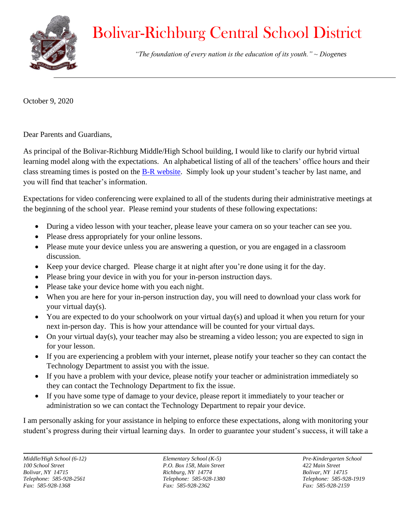

## Bolivar-Richburg Central School District

 *"The foundation of every nation is the education of its youth." ~ Diogenes*

October 9, 2020

Dear Parents and Guardians,

As principal of the Bolivar-Richburg Middle/High School building, I would like to clarify our hybrid virtual learning model along with the expectations. An alphabetical listing of all of the teachers' office hours and their class streaming times is posted on the [B-R website.](https://www.brcs.wnyric.org/domain/150) Simply look up your student's teacher by last name, and you will find that teacher's information.

Expectations for video conferencing were explained to all of the students during their administrative meetings at the beginning of the school year. Please remind your students of these following expectations:

- During a video lesson with your teacher, please leave your camera on so your teacher can see you.
- Please dress appropriately for your online lessons.
- Please mute your device unless you are answering a question, or you are engaged in a classroom discussion.
- Keep your device charged. Please charge it at night after you're done using it for the day.
- Please bring your device in with you for your in-person instruction days.
- Please take your device home with you each night.
- When you are here for your in-person instruction day, you will need to download your class work for your virtual day(s).
- You are expected to do your schoolwork on your virtual day(s) and upload it when you return for your next in-person day. This is how your attendance will be counted for your virtual days.
- On your virtual day(s), your teacher may also be streaming a video lesson; you are expected to sign in for your lesson.
- If you are experiencing a problem with your internet, please notify your teacher so they can contact the Technology Department to assist you with the issue.
- If you have a problem with your device, please notify your teacher or administration immediately so they can contact the Technology Department to fix the issue.
- If you have some type of damage to your device, please report it immediately to your teacher or administration so we can contact the Technology Department to repair your device.

I am personally asking for your assistance in helping to enforce these expectations, along with monitoring your student's progress during their virtual learning days. In order to guarantee your student's success, it will take a